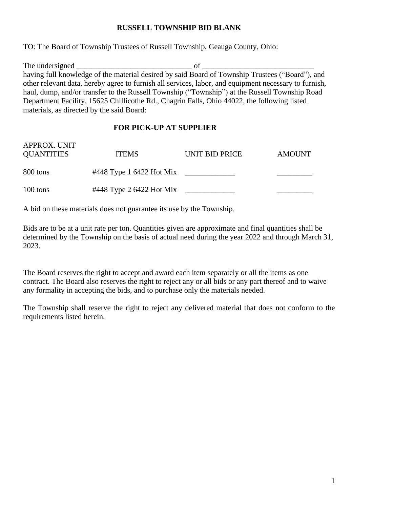## **RUSSELL TOWNSHIP BID BLANK**

TO: The Board of Township Trustees of Russell Township, Geauga County, Ohio:

The undersigned of having full knowledge of the material desired by said Board of Township Trustees ("Board"), and other relevant data, hereby agree to furnish all services, labor, and equipment necessary to furnish, haul, dump, and/or transfer to the Russell Township ("Township") at the Russell Township Road Department Facility, 15625 Chillicothe Rd., Chagrin Falls, Ohio 44022, the following listed materials, as directed by the said Board:

## **FOR PICK-UP AT SUPPLIER**

| APPROX. UNIT<br><b>QUANTITIES</b> | <b>ITEMS</b>             | UNIT BID PRICE | <b>AMOUNT</b> |
|-----------------------------------|--------------------------|----------------|---------------|
| 800 tons                          | #448 Type 1 6422 Hot Mix |                |               |
| 100 tons                          | #448 Type 2 6422 Hot Mix |                |               |

A bid on these materials does not guarantee its use by the Township.

Bids are to be at a unit rate per ton. Quantities given are approximate and final quantities shall be determined by the Township on the basis of actual need during the year 2022 and through March 31, 2023.

The Board reserves the right to accept and award each item separately or all the items as one contract. The Board also reserves the right to reject any or all bids or any part thereof and to waive any formality in accepting the bids, and to purchase only the materials needed.

The Township shall reserve the right to reject any delivered material that does not conform to the requirements listed herein.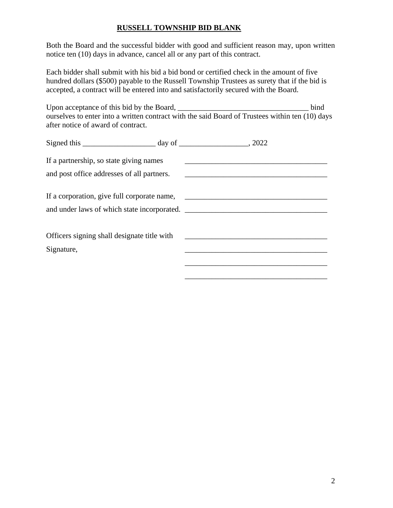# **RUSSELL TOWNSHIP BID BLANK**

Both the Board and the successful bidder with good and sufficient reason may, upon written notice ten (10) days in advance, cancel all or any part of this contract.

Each bidder shall submit with his bid a bid bond or certified check in the amount of five hundred dollars (\$500) payable to the Russell Township Trustees as surety that if the bid is accepted, a contract will be entered into and satisfactorily secured with the Board.

| Upon acceptance of this bid by the Board,                                                       | <b>bind</b> |
|-------------------------------------------------------------------------------------------------|-------------|
| ourselves to enter into a written contract with the said Board of Trustees within ten (10) days |             |
| after notice of award of contract.                                                              |             |

| Signed this $\_\_\_\_\_\_$ day of $\_\_\_\_\_\_\_$ , 2022 |                                                                                                                      |  |
|-----------------------------------------------------------|----------------------------------------------------------------------------------------------------------------------|--|
| If a partnership, so state giving names                   | <u> 1989 - Johann Stein, mars an deutscher Stein und der Stein und der Stein und der Stein und der Stein und der</u> |  |
| and post office addresses of all partners.                | <u> 1989 - Andrea Andrews, amerikansk politik (d. 1989)</u>                                                          |  |
|                                                           |                                                                                                                      |  |
| and under laws of which state incorporated.               |                                                                                                                      |  |
|                                                           |                                                                                                                      |  |
| Officers signing shall designate title with               | <u> 1980 - Andrea Andrew Maria (h. 1980).</u>                                                                        |  |
| Signature,                                                |                                                                                                                      |  |
|                                                           |                                                                                                                      |  |
|                                                           |                                                                                                                      |  |